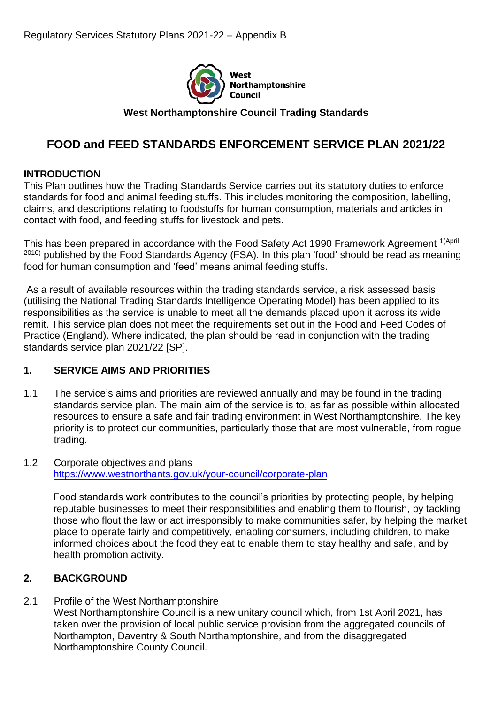

**West Northamptonshire Council Trading Standards**

# **FOOD and FEED STANDARDS ENFORCEMENT SERVICE PLAN 2021/22**

### **INTRODUCTION**

This Plan outlines how the Trading Standards Service carries out its statutory duties to enforce standards for food and animal feeding stuffs. This includes monitoring the composition, labelling, claims, and descriptions relating to foodstuffs for human consumption, materials and articles in contact with food, and feeding stuffs for livestock and pets.

This has been prepared in accordance with the Food Safety Act 1990 Framework Agreement <sup>1(April</sup> 2010) published by the Food Standards Agency (FSA). In this plan 'food' should be read as meaning food for human consumption and 'feed' means animal feeding stuffs.

As a result of available resources within the trading standards service, a risk assessed basis (utilising the National Trading Standards Intelligence Operating Model) has been applied to its responsibilities as the service is unable to meet all the demands placed upon it across its wide remit. This service plan does not meet the requirements set out in the Food and Feed Codes of Practice (England). Where indicated, the plan should be read in conjunction with the trading standards service plan 2021/22 [SP].

# **1. SERVICE AIMS AND PRIORITIES**

- 1.1 The service's aims and priorities are reviewed annually and may be found in the trading standards service plan. The main aim of the service is to, as far as possible within allocated resources to ensure a safe and fair trading environment in West Northamptonshire. The key priority is to protect our communities, particularly those that are most vulnerable, from rogue trading.
- 1.2 Corporate objectives and plans <https://www.westnorthants.gov.uk/your-council/corporate-plan>

Food standards work contributes to the council's priorities by protecting people, by helping reputable businesses to meet their responsibilities and enabling them to flourish, by tackling those who flout the law or act irresponsibly to make communities safer, by helping the market place to operate fairly and competitively, enabling consumers, including children, to make informed choices about the food they eat to enable them to stay healthy and safe, and by health promotion activity.

#### **2. BACKGROUND**

2.1 Profile of the West Northamptonshire West Northamptonshire Council is a new unitary council which, from 1st April 2021, has taken over the provision of local public service provision from the aggregated councils of Northampton, Daventry & South Northamptonshire, and from the disaggregated Northamptonshire County Council.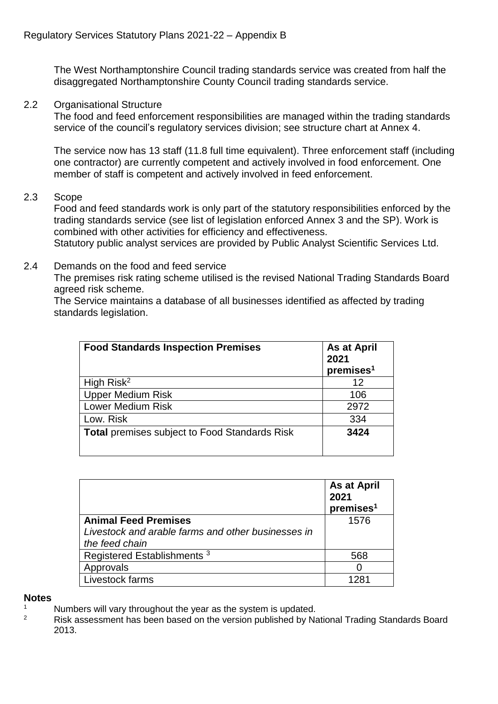The West Northamptonshire Council trading standards service was created from half the disaggregated Northamptonshire County Council trading standards service.

2.2 Organisational Structure

The food and feed enforcement responsibilities are managed within the trading standards service of the council's regulatory services division; see structure chart at Annex 4.

The service now has 13 staff (11.8 full time equivalent). Three enforcement staff (including one contractor) are currently competent and actively involved in food enforcement. One member of staff is competent and actively involved in feed enforcement.

2.3 Scope

Food and feed standards work is only part of the statutory responsibilities enforced by the trading standards service (see list of legislation enforced Annex 3 and the SP). Work is combined with other activities for efficiency and effectiveness.

Statutory public analyst services are provided by Public Analyst Scientific Services Ltd.

2.4 Demands on the food and feed service

The premises risk rating scheme utilised is the revised National Trading Standards Board agreed risk scheme.

The Service maintains a database of all businesses identified as affected by trading standards legislation.

| <b>Food Standards Inspection Premises</b>     | <b>As at April</b><br>2021<br>premises <sup>1</sup> |
|-----------------------------------------------|-----------------------------------------------------|
| High Risk <sup>2</sup>                        | 12                                                  |
| <b>Upper Medium Risk</b>                      | 106                                                 |
| <b>Lower Medium Risk</b>                      | 2972                                                |
| Low. Risk                                     | 334                                                 |
| Total premises subject to Food Standards Risk | 3424                                                |

|                                                    | As at April<br>2021<br>premises <sup>1</sup> |
|----------------------------------------------------|----------------------------------------------|
| <b>Animal Feed Premises</b>                        | 1576                                         |
| Livestock and arable farms and other businesses in |                                              |
| the feed chain                                     |                                              |
| Registered Establishments <sup>3</sup>             | 568                                          |
| Approvals                                          |                                              |
| Livestock farms                                    | 128 <sub>1</sub>                             |

#### **Notes**

- <sup>1</sup> Numbers will vary throughout the year as the system is updated.<br><sup>2</sup> Pick assessment has been based on the version published by Na
- <sup>2</sup> Risk assessment has been based on the version published by National Trading Standards Board 2013.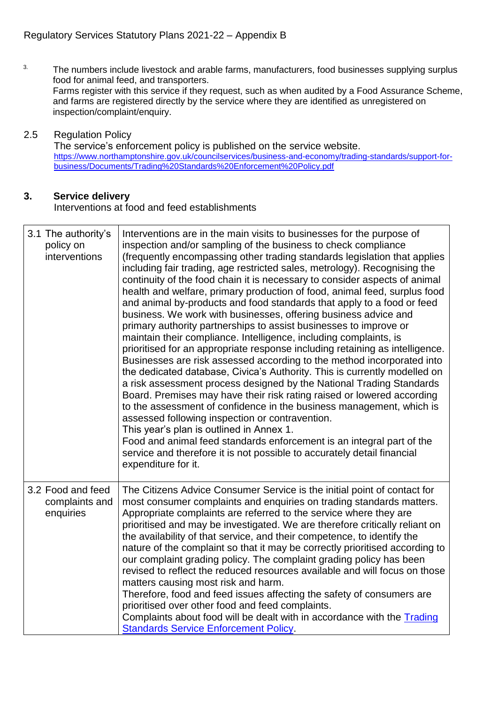$3.$  The numbers include livestock and arable farms, manufacturers, food businesses supplying surplus food for animal feed, and transporters. Farms register with this service if they request, such as when audited by a Food Assurance Scheme, and farms are registered directly by the service where they are identified as unregistered on inspection/complaint/enquiry.

#### 2.5 Regulation Policy

The service's enforcement policy is published on the service website. [https://www.northamptonshire.gov.uk/councilservices/business-and-economy/trading-standards/support-for](https://www.northamptonshire.gov.uk/councilservices/business-and-economy/trading-standards/support-for-business/Documents/Trading%20Standards%20Enforcement%20Policy.pdf)[business/Documents/Trading%20Standards%20Enforcement%20Policy.pdf](https://www.northamptonshire.gov.uk/councilservices/business-and-economy/trading-standards/support-for-business/Documents/Trading%20Standards%20Enforcement%20Policy.pdf)

#### **3. Service delivery**

Interventions at food and feed establishments

| 3.1 The authority's<br>policy on<br>interventions | Interventions are in the main visits to businesses for the purpose of<br>inspection and/or sampling of the business to check compliance<br>(frequently encompassing other trading standards legislation that applies<br>including fair trading, age restricted sales, metrology). Recognising the<br>continuity of the food chain it is necessary to consider aspects of animal<br>health and welfare, primary production of food, animal feed, surplus food<br>and animal by-products and food standards that apply to a food or feed<br>business. We work with businesses, offering business advice and<br>primary authority partnerships to assist businesses to improve or<br>maintain their compliance. Intelligence, including complaints, is<br>prioritised for an appropriate response including retaining as intelligence.<br>Businesses are risk assessed according to the method incorporated into<br>the dedicated database, Civica's Authority. This is currently modelled on<br>a risk assessment process designed by the National Trading Standards<br>Board. Premises may have their risk rating raised or lowered according<br>to the assessment of confidence in the business management, which is<br>assessed following inspection or contravention.<br>This year's plan is outlined in Annex 1.<br>Food and animal feed standards enforcement is an integral part of the<br>service and therefore it is not possible to accurately detail financial<br>expenditure for it. |
|---------------------------------------------------|------------------------------------------------------------------------------------------------------------------------------------------------------------------------------------------------------------------------------------------------------------------------------------------------------------------------------------------------------------------------------------------------------------------------------------------------------------------------------------------------------------------------------------------------------------------------------------------------------------------------------------------------------------------------------------------------------------------------------------------------------------------------------------------------------------------------------------------------------------------------------------------------------------------------------------------------------------------------------------------------------------------------------------------------------------------------------------------------------------------------------------------------------------------------------------------------------------------------------------------------------------------------------------------------------------------------------------------------------------------------------------------------------------------------------------------------------------------------------------------------|
| 3.2 Food and feed<br>complaints and<br>enquiries  | The Citizens Advice Consumer Service is the initial point of contact for<br>most consumer complaints and enquiries on trading standards matters.<br>Appropriate complaints are referred to the service where they are<br>prioritised and may be investigated. We are therefore critically reliant on<br>the availability of that service, and their competence, to identify the<br>nature of the complaint so that it may be correctly prioritised according to<br>our complaint grading policy. The complaint grading policy has been<br>revised to reflect the reduced resources available and will focus on those<br>matters causing most risk and harm.<br>Therefore, food and feed issues affecting the safety of consumers are<br>prioritised over other food and feed complaints.<br>Complaints about food will be dealt with in accordance with the Trading<br><b>Standards Service Enforcement Policy.</b>                                                                                                                                                                                                                                                                                                                                                                                                                                                                                                                                                                            |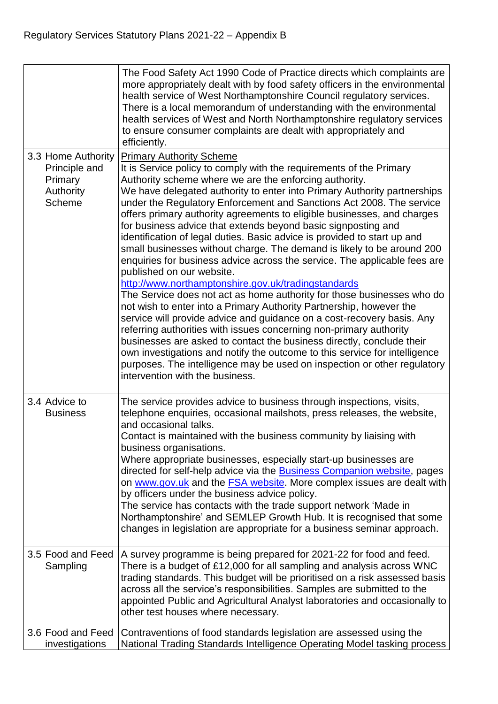|                                                                              | The Food Safety Act 1990 Code of Practice directs which complaints are<br>more appropriately dealt with by food safety officers in the environmental<br>health service of West Northamptonshire Council regulatory services.<br>There is a local memorandum of understanding with the environmental<br>health services of West and North Northamptonshire regulatory services<br>to ensure consumer complaints are dealt with appropriately and<br>efficiently.                                                                                                                                                                                                                                                                                                                                                                                                                                                                                                                                                                                                                                                                                                                                                                                                                                                                                                |
|------------------------------------------------------------------------------|----------------------------------------------------------------------------------------------------------------------------------------------------------------------------------------------------------------------------------------------------------------------------------------------------------------------------------------------------------------------------------------------------------------------------------------------------------------------------------------------------------------------------------------------------------------------------------------------------------------------------------------------------------------------------------------------------------------------------------------------------------------------------------------------------------------------------------------------------------------------------------------------------------------------------------------------------------------------------------------------------------------------------------------------------------------------------------------------------------------------------------------------------------------------------------------------------------------------------------------------------------------------------------------------------------------------------------------------------------------|
| 3.3 Home Authority<br>Principle and<br>Primary<br>Authority<br><b>Scheme</b> | <b>Primary Authority Scheme</b><br>It is Service policy to comply with the requirements of the Primary<br>Authority scheme where we are the enforcing authority.<br>We have delegated authority to enter into Primary Authority partnerships<br>under the Regulatory Enforcement and Sanctions Act 2008. The service<br>offers primary authority agreements to eligible businesses, and charges<br>for business advice that extends beyond basic signposting and<br>identification of legal duties. Basic advice is provided to start up and<br>small businesses without charge. The demand is likely to be around 200<br>enquiries for business advice across the service. The applicable fees are<br>published on our website.<br>http://www.northamptonshire.gov.uk/tradingstandards<br>The Service does not act as home authority for those businesses who do<br>not wish to enter into a Primary Authority Partnership, however the<br>service will provide advice and guidance on a cost-recovery basis. Any<br>referring authorities with issues concerning non-primary authority<br>businesses are asked to contact the business directly, conclude their<br>own investigations and notify the outcome to this service for intelligence<br>purposes. The intelligence may be used on inspection or other regulatory<br>intervention with the business. |
| 3.4 Advice to<br><b>Business</b>                                             | The service provides advice to business through inspections, visits,<br>telephone enquiries, occasional mailshots, press releases, the website,<br>and occasional talks.<br>Contact is maintained with the business community by liaising with<br>business organisations.<br>Where appropriate businesses, especially start-up businesses are<br>directed for self-help advice via the <b>Business Companion website</b> , pages<br>on www.gov.uk and the <b>FSA website</b> . More complex issues are dealt with<br>by officers under the business advice policy.<br>The service has contacts with the trade support network 'Made in<br>Northamptonshire' and SEMLEP Growth Hub. It is recognised that some<br>changes in legislation are appropriate for a business seminar approach.                                                                                                                                                                                                                                                                                                                                                                                                                                                                                                                                                                       |
| 3.5 Food and Feed<br>Sampling                                                | A survey programme is being prepared for 2021-22 for food and feed.<br>There is a budget of £12,000 for all sampling and analysis across WNC<br>trading standards. This budget will be prioritised on a risk assessed basis<br>across all the service's responsibilities. Samples are submitted to the<br>appointed Public and Agricultural Analyst laboratories and occasionally to<br>other test houses where necessary.                                                                                                                                                                                                                                                                                                                                                                                                                                                                                                                                                                                                                                                                                                                                                                                                                                                                                                                                     |
| 3.6 Food and Feed<br>investigations                                          | Contraventions of food standards legislation are assessed using the<br>National Trading Standards Intelligence Operating Model tasking process                                                                                                                                                                                                                                                                                                                                                                                                                                                                                                                                                                                                                                                                                                                                                                                                                                                                                                                                                                                                                                                                                                                                                                                                                 |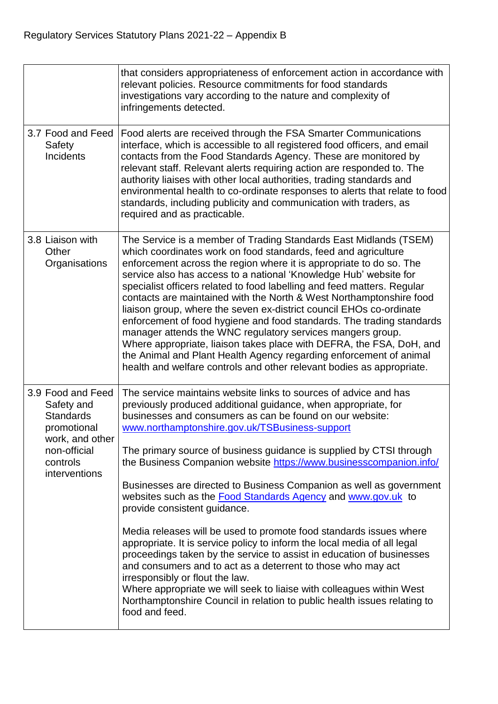|                                                                                                                                    | that considers appropriateness of enforcement action in accordance with<br>relevant policies. Resource commitments for food standards<br>investigations vary according to the nature and complexity of<br>infringements detected.                                                                                                                                                                                                                                                                                                                                                                                                                                                                                                                                                                                                                                                                                                                                                                                                                                               |
|------------------------------------------------------------------------------------------------------------------------------------|---------------------------------------------------------------------------------------------------------------------------------------------------------------------------------------------------------------------------------------------------------------------------------------------------------------------------------------------------------------------------------------------------------------------------------------------------------------------------------------------------------------------------------------------------------------------------------------------------------------------------------------------------------------------------------------------------------------------------------------------------------------------------------------------------------------------------------------------------------------------------------------------------------------------------------------------------------------------------------------------------------------------------------------------------------------------------------|
| 3.7 Food and Feed<br>Safety<br>Incidents                                                                                           | Food alerts are received through the FSA Smarter Communications<br>interface, which is accessible to all registered food officers, and email<br>contacts from the Food Standards Agency. These are monitored by<br>relevant staff. Relevant alerts requiring action are responded to. The<br>authority liaises with other local authorities, trading standards and<br>environmental health to co-ordinate responses to alerts that relate to food<br>standards, including publicity and communication with traders, as<br>required and as practicable.                                                                                                                                                                                                                                                                                                                                                                                                                                                                                                                          |
| 3.8 Liaison with<br>Other<br>Organisations                                                                                         | The Service is a member of Trading Standards East Midlands (TSEM)<br>which coordinates work on food standards, feed and agriculture<br>enforcement across the region where it is appropriate to do so. The<br>service also has access to a national 'Knowledge Hub' website for<br>specialist officers related to food labelling and feed matters. Regular<br>contacts are maintained with the North & West Northamptonshire food<br>liaison group, where the seven ex-district council EHOs co-ordinate<br>enforcement of food hygiene and food standards. The trading standards<br>manager attends the WNC regulatory services mangers group.<br>Where appropriate, liaison takes place with DEFRA, the FSA, DoH, and<br>the Animal and Plant Health Agency regarding enforcement of animal<br>health and welfare controls and other relevant bodies as appropriate.                                                                                                                                                                                                          |
| 3.9 Food and Feed<br>Safety and<br><b>Standards</b><br>promotional<br>work, and other<br>non-official<br>controls<br>interventions | The service maintains website links to sources of advice and has<br>previously produced additional guidance, when appropriate, for<br>businesses and consumers as can be found on our website:<br>www.northamptonshire.gov.uk/TSBusiness-support<br>The primary source of business guidance is supplied by CTSI through<br>the Business Companion website https://www.businesscompanion.info/<br>Businesses are directed to Business Companion as well as government<br>websites such as the <b>Food Standards Agency</b> and www.gov.uk to<br>provide consistent guidance.<br>Media releases will be used to promote food standards issues where<br>appropriate. It is service policy to inform the local media of all legal<br>proceedings taken by the service to assist in education of businesses<br>and consumers and to act as a deterrent to those who may act<br>irresponsibly or flout the law.<br>Where appropriate we will seek to liaise with colleagues within West<br>Northamptonshire Council in relation to public health issues relating to<br>food and feed. |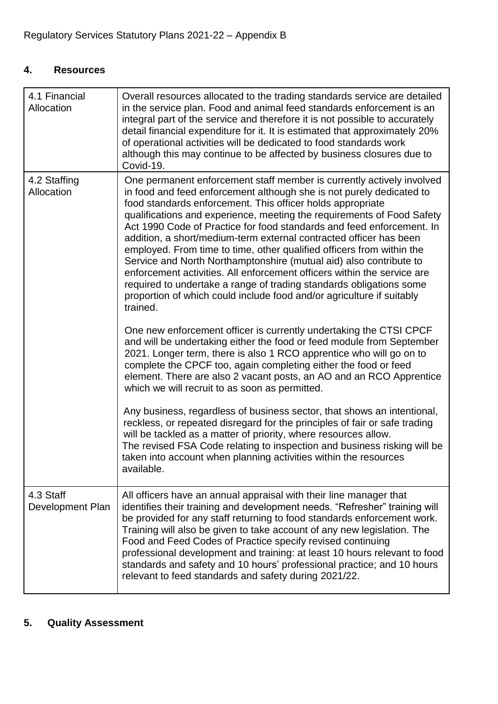# **4. Resources**

| 4.1 Financial<br>Allocation   | Overall resources allocated to the trading standards service are detailed<br>in the service plan. Food and animal feed standards enforcement is an<br>integral part of the service and therefore it is not possible to accurately<br>detail financial expenditure for it. It is estimated that approximately 20%<br>of operational activities will be dedicated to food standards work<br>although this may continue to be affected by business closures due to<br>Covid-19.                                                                                                                                                                                                                                                                                                                                               |
|-------------------------------|----------------------------------------------------------------------------------------------------------------------------------------------------------------------------------------------------------------------------------------------------------------------------------------------------------------------------------------------------------------------------------------------------------------------------------------------------------------------------------------------------------------------------------------------------------------------------------------------------------------------------------------------------------------------------------------------------------------------------------------------------------------------------------------------------------------------------|
| 4.2 Staffing<br>Allocation    | One permanent enforcement staff member is currently actively involved<br>in food and feed enforcement although she is not purely dedicated to<br>food standards enforcement. This officer holds appropriate<br>qualifications and experience, meeting the requirements of Food Safety<br>Act 1990 Code of Practice for food standards and feed enforcement. In<br>addition, a short/medium-term external contracted officer has been<br>employed. From time to time, other qualified officers from within the<br>Service and North Northamptonshire (mutual aid) also contribute to<br>enforcement activities. All enforcement officers within the service are<br>required to undertake a range of trading standards obligations some<br>proportion of which could include food and/or agriculture if suitably<br>trained. |
|                               | One new enforcement officer is currently undertaking the CTSI CPCF<br>and will be undertaking either the food or feed module from September<br>2021. Longer term, there is also 1 RCO apprentice who will go on to<br>complete the CPCF too, again completing either the food or feed<br>element. There are also 2 vacant posts, an AO and an RCO Apprentice<br>which we will recruit to as soon as permitted.                                                                                                                                                                                                                                                                                                                                                                                                             |
|                               | Any business, regardless of business sector, that shows an intentional,<br>reckless, or repeated disregard for the principles of fair or safe trading<br>will be tackled as a matter of priority, where resources allow.<br>The revised FSA Code relating to inspection and business risking will be<br>taken into account when planning activities within the resources<br>available.                                                                                                                                                                                                                                                                                                                                                                                                                                     |
| 4.3 Staff<br>Development Plan | All officers have an annual appraisal with their line manager that<br>identifies their training and development needs. "Refresher" training will<br>be provided for any staff returning to food standards enforcement work.<br>Training will also be given to take account of any new legislation. The<br>Food and Feed Codes of Practice specify revised continuing<br>professional development and training: at least 10 hours relevant to food<br>standards and safety and 10 hours' professional practice; and 10 hours<br>relevant to feed standards and safety during 2021/22.                                                                                                                                                                                                                                       |

# **5. Quality Assessment**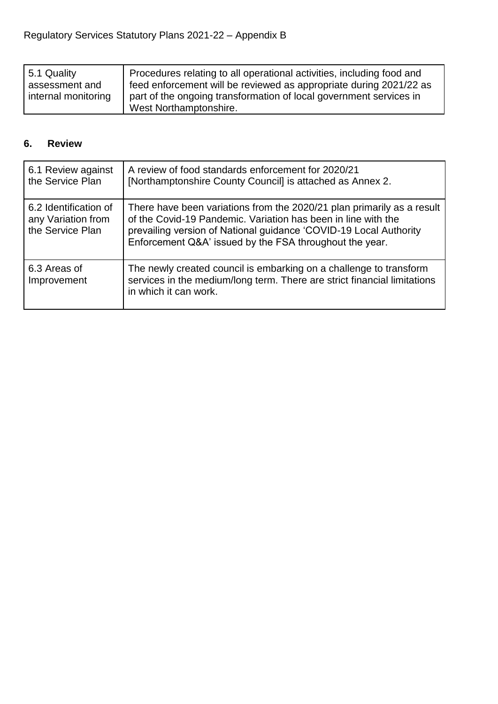| 5.1 Quality         | Procedures relating to all operational activities, including food and |
|---------------------|-----------------------------------------------------------------------|
| assessment and      | feed enforcement will be reviewed as appropriate during 2021/22 as    |
| internal monitoring | part of the ongoing transformation of local government services in    |
|                     | West Northamptonshire.                                                |

# **6. Review**

| 6.1 Review against<br>the Service Plan                          | A review of food standards enforcement for 2020/21<br>[Northamptonshire County Council] is attached as Annex 2.                                                                                                                                                         |
|-----------------------------------------------------------------|-------------------------------------------------------------------------------------------------------------------------------------------------------------------------------------------------------------------------------------------------------------------------|
| 6.2 Identification of<br>any Variation from<br>the Service Plan | There have been variations from the 2020/21 plan primarily as a result<br>of the Covid-19 Pandemic. Variation has been in line with the<br>prevailing version of National guidance 'COVID-19 Local Authority<br>Enforcement Q&A' issued by the FSA throughout the year. |
| 6.3 Areas of<br>Improvement                                     | The newly created council is embarking on a challenge to transform<br>services in the medium/long term. There are strict financial limitations<br>in which it can work.                                                                                                 |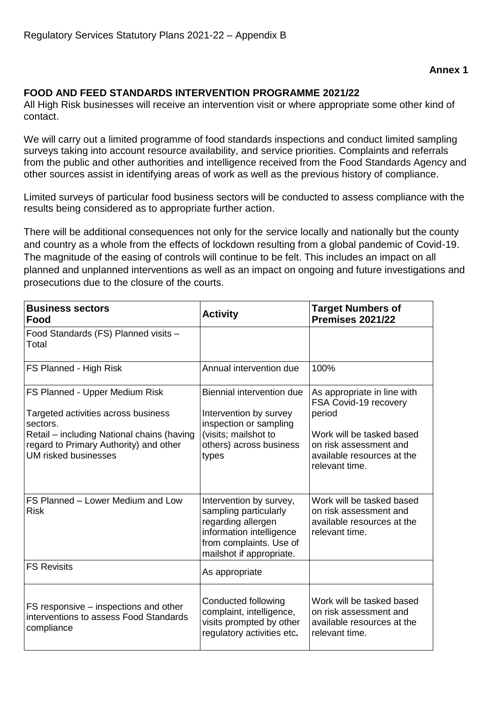#### **Annex 1**

#### **FOOD AND FEED STANDARDS INTERVENTION PROGRAMME 2021/22**

All High Risk businesses will receive an intervention visit or where appropriate some other kind of contact.

We will carry out a limited programme of food standards inspections and conduct limited sampling surveys taking into account resource availability, and service priorities. Complaints and referrals from the public and other authorities and intelligence received from the Food Standards Agency and other sources assist in identifying areas of work as well as the previous history of compliance.

Limited surveys of particular food business sectors will be conducted to assess compliance with the results being considered as to appropriate further action.

There will be additional consequences not only for the service locally and nationally but the county and country as a whole from the effects of lockdown resulting from a global pandemic of Covid-19. The magnitude of the easing of controls will continue to be felt. This includes an impact on all planned and unplanned interventions as well as an impact on ongoing and future investigations and prosecutions due to the closure of the courts.

| <b>Business sectors</b><br>Food                                                                                                                                                                          | <b>Activity</b>                                                                                                                                           | <b>Target Numbers of</b><br><b>Premises 2021/22</b>                                                                                                                   |
|----------------------------------------------------------------------------------------------------------------------------------------------------------------------------------------------------------|-----------------------------------------------------------------------------------------------------------------------------------------------------------|-----------------------------------------------------------------------------------------------------------------------------------------------------------------------|
| Food Standards (FS) Planned visits -<br>Total                                                                                                                                                            |                                                                                                                                                           |                                                                                                                                                                       |
| FS Planned - High Risk                                                                                                                                                                                   | Annual intervention due                                                                                                                                   | 100%                                                                                                                                                                  |
| FS Planned - Upper Medium Risk<br>Targeted activities across business<br>sectors.<br>Retail – including National chains (having<br>regard to Primary Authority) and other<br><b>UM risked businesses</b> | Biennial intervention due<br>Intervention by survey<br>inspection or sampling<br>(visits; mailshot to<br>others) across business<br>types                 | As appropriate in line with<br>FSA Covid-19 recovery<br>period<br>Work will be tasked based<br>on risk assessment and<br>available resources at the<br>relevant time. |
| FS Planned - Lower Medium and Low<br><b>Risk</b>                                                                                                                                                         | Intervention by survey,<br>sampling particularly<br>regarding allergen<br>information intelligence<br>from complaints. Use of<br>mailshot if appropriate. | Work will be tasked based<br>on risk assessment and<br>available resources at the<br>relevant time.                                                                   |
| <b>FS Revisits</b>                                                                                                                                                                                       | As appropriate                                                                                                                                            |                                                                                                                                                                       |
| FS responsive – inspections and other<br>interventions to assess Food Standards<br>compliance                                                                                                            | Conducted following<br>complaint, intelligence,<br>visits prompted by other<br>regulatory activities etc.                                                 | Work will be tasked based<br>on risk assessment and<br>available resources at the<br>relevant time.                                                                   |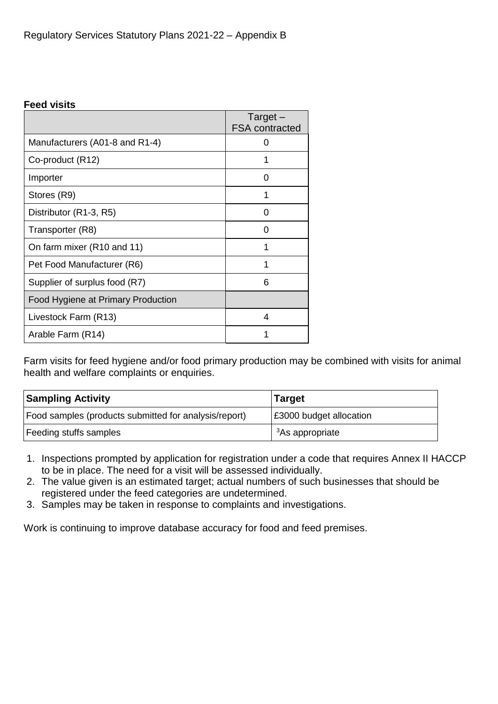#### **Feed visits**

|                                    | $Target -$<br><b>FSA</b> contracted |
|------------------------------------|-------------------------------------|
| Manufacturers (A01-8 and R1-4)     |                                     |
| Co-product (R12)                   |                                     |
| Importer                           | 0                                   |
| Stores (R9)                        |                                     |
| Distributor (R1-3, R5)             |                                     |
| Transporter (R8)                   | ( )                                 |
| On farm mixer (R10 and 11)         |                                     |
| Pet Food Manufacturer (R6)         |                                     |
| Supplier of surplus food (R7)      | 6                                   |
| Food Hygiene at Primary Production |                                     |
| Livestock Farm (R13)               | 4                                   |
| Arable Farm (R14)                  |                                     |

Farm visits for feed hygiene and/or food primary production may be combined with visits for animal health and welfare complaints or enquiries.

| <b>Sampling Activity</b>                              | <b>Target</b>                  |  |
|-------------------------------------------------------|--------------------------------|--|
| Food samples (products submitted for analysis/report) | <b>£3000 budget allocation</b> |  |
| Feeding stuffs samples                                | <sup>3</sup> As appropriate    |  |

- 1. Inspections prompted by application for registration under a code that requires Annex II HACCP to be in place. The need for a visit will be assessed individually.
- 2. The value given is an estimated target; actual numbers of such businesses that should be registered under the feed categories are undetermined.
- 3. Samples may be taken in response to complaints and investigations.

Work is continuing to improve database accuracy for food and feed premises.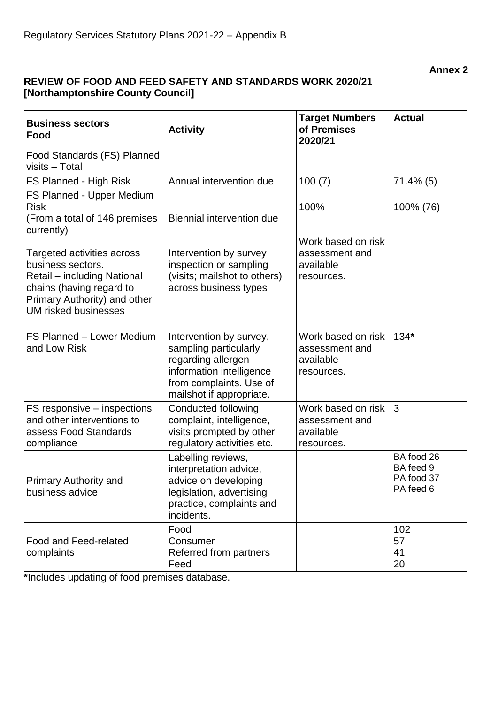**Annex 2**

### **REVIEW OF FOOD AND FEED SAFETY AND STANDARDS WORK 2020/21 [Northamptonshire County Council]**

| <b>Business sectors</b><br>Food                                                                                                                                           | <b>Activity</b>                                                                                                                                           | <b>Target Numbers</b><br>of Premises<br>2020/21                 | <b>Actual</b>                                      |
|---------------------------------------------------------------------------------------------------------------------------------------------------------------------------|-----------------------------------------------------------------------------------------------------------------------------------------------------------|-----------------------------------------------------------------|----------------------------------------------------|
| Food Standards (FS) Planned<br>visits - Total                                                                                                                             |                                                                                                                                                           |                                                                 |                                                    |
| FS Planned - High Risk                                                                                                                                                    | Annual intervention due                                                                                                                                   | 100(7)                                                          | $71.4\%$ (5)                                       |
| FS Planned - Upper Medium<br><b>Risk</b><br>(From a total of 146 premises<br>currently)                                                                                   | Biennial intervention due                                                                                                                                 | 100%<br>Work based on risk                                      | 100% (76)                                          |
| Targeted activities across<br>business sectors.<br>Retail – including National<br>chains (having regard to<br>Primary Authority) and other<br><b>UM risked businesses</b> | Intervention by survey<br>inspection or sampling<br>(visits; mailshot to others)<br>across business types                                                 | assessment and<br>available<br>resources.                       |                                                    |
| FS Planned - Lower Medium<br>and Low Risk                                                                                                                                 | Intervention by survey,<br>sampling particularly<br>regarding allergen<br>information intelligence<br>from complaints. Use of<br>mailshot if appropriate. | Work based on risk<br>assessment and<br>available<br>resources. | $134*$                                             |
| FS responsive - inspections<br>and other interventions to<br>assess Food Standards<br>compliance                                                                          | <b>Conducted following</b><br>complaint, intelligence,<br>visits prompted by other<br>regulatory activities etc.                                          | Work based on risk<br>assessment and<br>available<br>resources. | 3                                                  |
| <b>Primary Authority and</b><br>business advice                                                                                                                           | Labelling reviews,<br>interpretation advice,<br>advice on developing<br>legislation, advertising<br>practice, complaints and<br>incidents.                |                                                                 | BA food 26<br>BA feed 9<br>PA food 37<br>PA feed 6 |
| Food and Feed-related<br>complaints                                                                                                                                       | Food<br>Consumer<br>Referred from partners<br>Feed                                                                                                        |                                                                 | 102<br>57<br>41<br>20                              |

**\***Includes updating of food premises database.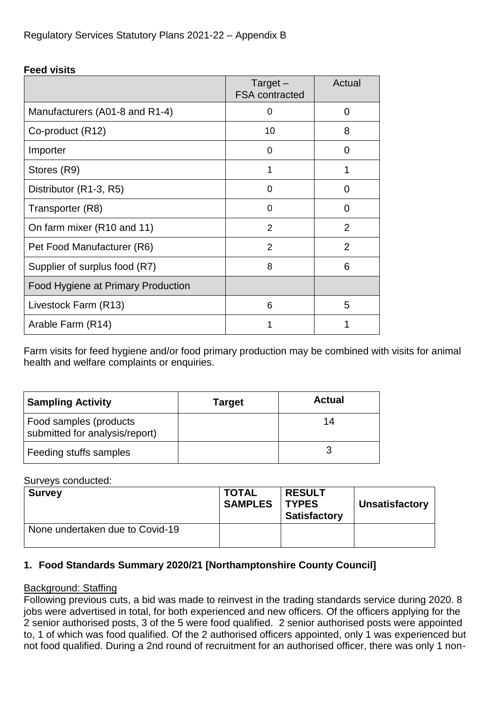### **Feed visits**

|                                    | $Target -$<br><b>FSA</b> contracted | Actual         |
|------------------------------------|-------------------------------------|----------------|
| Manufacturers (A01-8 and R1-4)     | 0                                   | 0              |
| Co-product (R12)                   | 10                                  | 8              |
| Importer                           | 0                                   | 0              |
| Stores (R9)                        |                                     |                |
| Distributor (R1-3, R5)             | 0                                   | 0              |
| Transporter (R8)                   | 0                                   | 0              |
| On farm mixer (R10 and 11)         | $\mathcal{P}$                       | 2              |
| Pet Food Manufacturer (R6)         | 2                                   | $\overline{2}$ |
| Supplier of surplus food (R7)      | 8                                   | 6              |
| Food Hygiene at Primary Production |                                     |                |
| Livestock Farm (R13)               | 6                                   | 5              |
| Arable Farm (R14)                  |                                     |                |

Farm visits for feed hygiene and/or food primary production may be combined with visits for animal health and welfare complaints or enquiries.

| <b>Sampling Activity</b>                                 | <b>Target</b> | <b>Actual</b> |
|----------------------------------------------------------|---------------|---------------|
| Food samples (products<br>submitted for analysis/report) |               | 14            |
| Feeding stuffs samples                                   |               |               |

#### Surveys conducted:

| <b>Survey</b>                   | <b>TOTAL</b><br><b>SAMPLES</b> | <b>RESULT</b><br><b>TYPES</b><br><b>Satisfactory</b> | <b>Unsatisfactory</b> |
|---------------------------------|--------------------------------|------------------------------------------------------|-----------------------|
| None undertaken due to Covid-19 |                                |                                                      |                       |

# **1. Food Standards Summary 2020/21 [Northamptonshire County Council]**

# Background: Staffing

Following previous cuts, a bid was made to reinvest in the trading standards service during 2020. 8 jobs were advertised in total, for both experienced and new officers. Of the officers applying for the 2 senior authorised posts, 3 of the 5 were food qualified. 2 senior authorised posts were appointed to, 1 of which was food qualified. Of the 2 authorised officers appointed, only 1 was experienced but not food qualified. During a 2nd round of recruitment for an authorised officer, there was only 1 non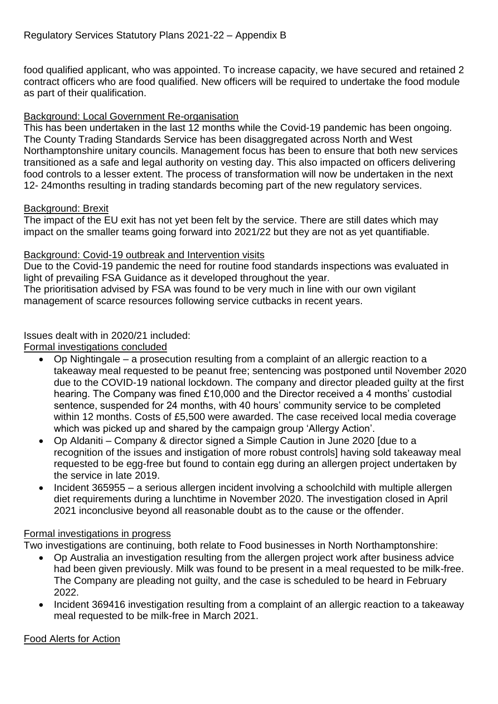food qualified applicant, who was appointed. To increase capacity, we have secured and retained 2 contract officers who are food qualified. New officers will be required to undertake the food module as part of their qualification.

#### Background: Local Government Re-organisation

This has been undertaken in the last 12 months while the Covid-19 pandemic has been ongoing. The County Trading Standards Service has been disaggregated across North and West Northamptonshire unitary councils. Management focus has been to ensure that both new services transitioned as a safe and legal authority on vesting day. This also impacted on officers delivering food controls to a lesser extent. The process of transformation will now be undertaken in the next 12- 24months resulting in trading standards becoming part of the new regulatory services.

#### Background: Brexit

The impact of the EU exit has not yet been felt by the service. There are still dates which may impact on the smaller teams going forward into 2021/22 but they are not as yet quantifiable.

#### Background: Covid-19 outbreak and Intervention visits

Due to the Covid-19 pandemic the need for routine food standards inspections was evaluated in light of prevailing FSA Guidance as it developed throughout the year.

The prioritisation advised by FSA was found to be very much in line with our own vigilant management of scarce resources following service cutbacks in recent years.

# Issues dealt with in 2020/21 included:

Formal investigations concluded

- Op Nightingale a prosecution resulting from a complaint of an allergic reaction to a takeaway meal requested to be peanut free; sentencing was postponed until November 2020 due to the COVID-19 national lockdown. The company and director pleaded guilty at the first hearing. The Company was fined £10,000 and the Director received a 4 months' custodial sentence, suspended for 24 months, with 40 hours' community service to be completed within 12 months. Costs of £5,500 were awarded. The case received local media coverage which was picked up and shared by the campaign group 'Allergy Action'.
- Op Aldaniti Company & director signed a Simple Caution in June 2020 [due to a recognition of the issues and instigation of more robust controls] having sold takeaway meal requested to be egg-free but found to contain egg during an allergen project undertaken by the service in late 2019.
- Incident 365955 a serious allergen incident involving a schoolchild with multiple allergen diet requirements during a lunchtime in November 2020. The investigation closed in April 2021 inconclusive beyond all reasonable doubt as to the cause or the offender.

#### Formal investigations in progress

Two investigations are continuing, both relate to Food businesses in North Northamptonshire:

- Op Australia an investigation resulting from the allergen project work after business advice had been given previously. Milk was found to be present in a meal requested to be milk-free. The Company are pleading not guilty, and the case is scheduled to be heard in February 2022.
- Incident 369416 investigation resulting from a complaint of an allergic reaction to a takeaway meal requested to be milk-free in March 2021.

# Food Alerts for Action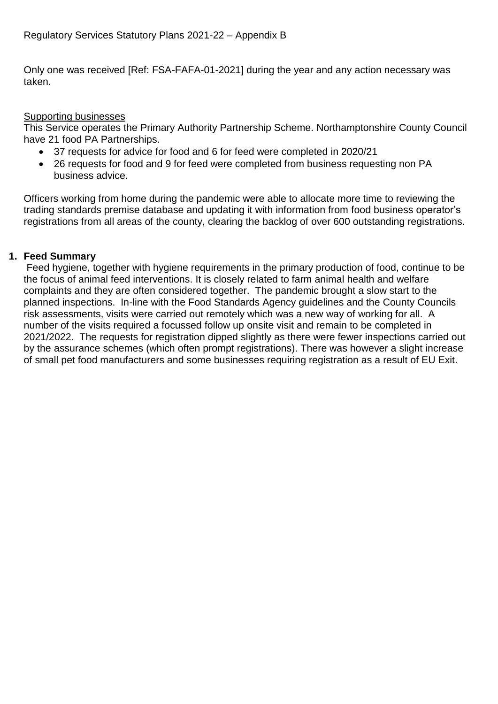Only one was received [Ref: FSA-FAFA-01-2021] during the year and any action necessary was taken.

# Supporting businesses

This Service operates the Primary Authority Partnership Scheme. Northamptonshire County Council have 21 food PA Partnerships.

- 37 requests for advice for food and 6 for feed were completed in 2020/21
- 26 requests for food and 9 for feed were completed from business requesting non PA business advice.

Officers working from home during the pandemic were able to allocate more time to reviewing the trading standards premise database and updating it with information from food business operator's registrations from all areas of the county, clearing the backlog of over 600 outstanding registrations.

# **1. Feed Summary**

Feed hygiene, together with hygiene requirements in the primary production of food, continue to be the focus of animal feed interventions. It is closely related to farm animal health and welfare complaints and they are often considered together. The pandemic brought a slow start to the planned inspections. In-line with the Food Standards Agency guidelines and the County Councils risk assessments, visits were carried out remotely which was a new way of working for all. A number of the visits required a focussed follow up onsite visit and remain to be completed in 2021/2022. The requests for registration dipped slightly as there were fewer inspections carried out by the assurance schemes (which often prompt registrations). There was however a slight increase of small pet food manufacturers and some businesses requiring registration as a result of EU Exit.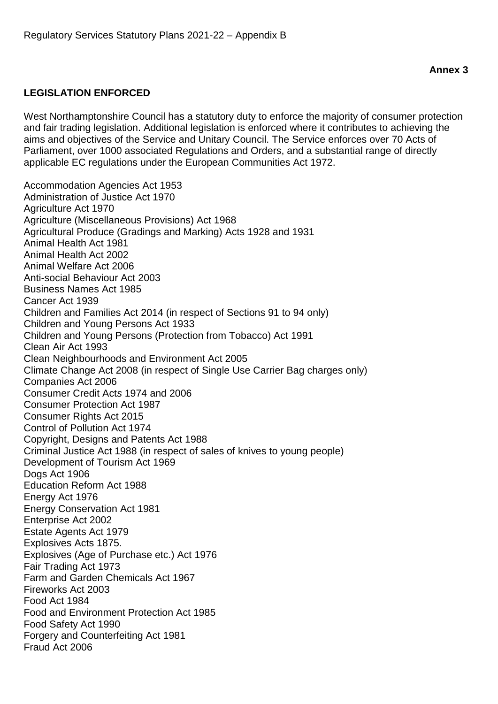# **LEGISLATION ENFORCED**

West Northamptonshire Council has a statutory duty to enforce the majority of consumer protection and fair trading legislation. Additional legislation is enforced where it contributes to achieving the aims and objectives of the Service and Unitary Council. The Service enforces over 70 Acts of Parliament, over 1000 associated Regulations and Orders, and a substantial range of directly applicable EC regulations under the European Communities Act 1972.

Accommodation Agencies Act 1953 Administration of Justice Act 1970 Agriculture Act 1970 Agriculture (Miscellaneous Provisions) Act 1968 Agricultural Produce (Gradings and Marking) Acts 1928 and 1931 Animal Health Act 1981 Animal Health Act 2002 Animal Welfare Act 2006 Anti-social Behaviour Act 2003 Business Names Act 1985 Cancer Act 1939 Children and Families Act 2014 (in respect of Sections 91 to 94 only) Children and Young Persons Act 1933 Children and Young Persons (Protection from Tobacco) Act 1991 Clean Air Act 1993 Clean Neighbourhoods and Environment Act 2005 Climate Change Act 2008 (in respect of Single Use Carrier Bag charges only) Companies Act 2006 Consumer Credit Act*s* 1974 and 2006 Consumer Protection Act 1987 Consumer Rights Act 2015 Control of Pollution Act 1974 Copyright, Designs and Patents Act 1988 Criminal Justice Act 1988 (in respect of sales of knives to young people) Development of Tourism Act 1969 Dogs Act 1906 Education Reform Act 1988 Energy Act 1976 Energy Conservation Act 1981 Enterprise Act 2002 Estate Agents Act 1979 Explosives Acts 1875. Explosives (Age of Purchase etc.) Act 1976 Fair Trading Act 1973 Farm and Garden Chemicals Act 1967 Fireworks Act 2003 Food Act 1984 Food and Environment Protection Act 1985 Food Safety Act 1990 Forgery and Counterfeiting Act 1981 Fraud Act 2006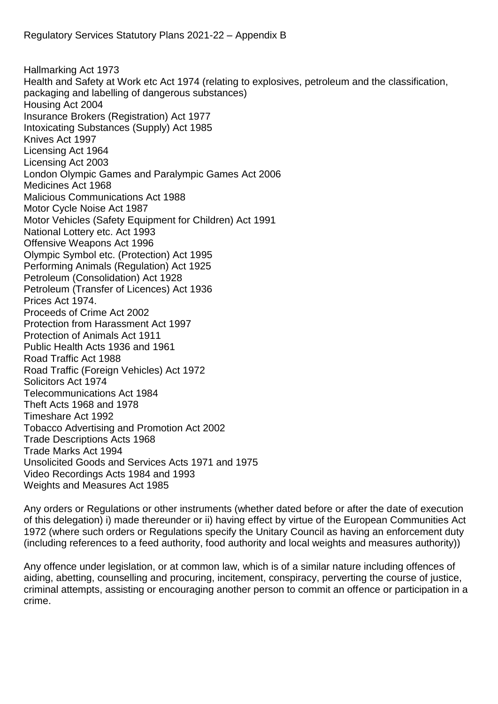Hallmarking Act 1973 Health and Safety at Work etc Act 1974 (relating to explosives, petroleum and the classification, packaging and labelling of dangerous substances) Housing Act 2004 Insurance Brokers (Registration) Act 1977 Intoxicating Substances (Supply) Act 1985 Knives Act 1997 Licensing Act 1964 Licensing Act 2003 London Olympic Games and Paralympic Games Act 2006 Medicines Act 1968 Malicious Communications Act 1988 Motor Cycle Noise Act 1987 Motor Vehicles (Safety Equipment for Children) Act 1991 National Lottery etc. Act 1993 Offensive Weapons Act 1996 Olympic Symbol etc. (Protection) Act 1995 Performing Animals (Regulation) Act 1925 Petroleum (Consolidation) Act 1928 Petroleum (Transfer of Licences) Act 1936 Prices Act 1974. Proceeds of Crime Act 2002 Protection from Harassment Act 1997 Protection of Animals Act 1911 Public Health Acts 1936 and 1961 Road Traffic Act 1988 Road Traffic (Foreign Vehicles) Act 1972 Solicitors Act 1974 Telecommunications Act 1984 Theft Acts 1968 and 1978 Timeshare Act 1992 Tobacco Advertising and Promotion Act 2002 Trade Descriptions Acts 1968 Trade Marks Act 1994 Unsolicited Goods and Services Acts 1971 and 1975 Video Recordings Acts 1984 and 1993 Weights and Measures Act 1985

Any orders or Regulations or other instruments (whether dated before or after the date of execution of this delegation) i) made thereunder or ii) having effect by virtue of the European Communities Act 1972 (where such orders or Regulations specify the Unitary Council as having an enforcement duty (including references to a feed authority, food authority and local weights and measures authority))

Any offence under legislation, or at common law, which is of a similar nature including offences of aiding, abetting, counselling and procuring, incitement, conspiracy, perverting the course of justice, criminal attempts, assisting or encouraging another person to commit an offence or participation in a crime.